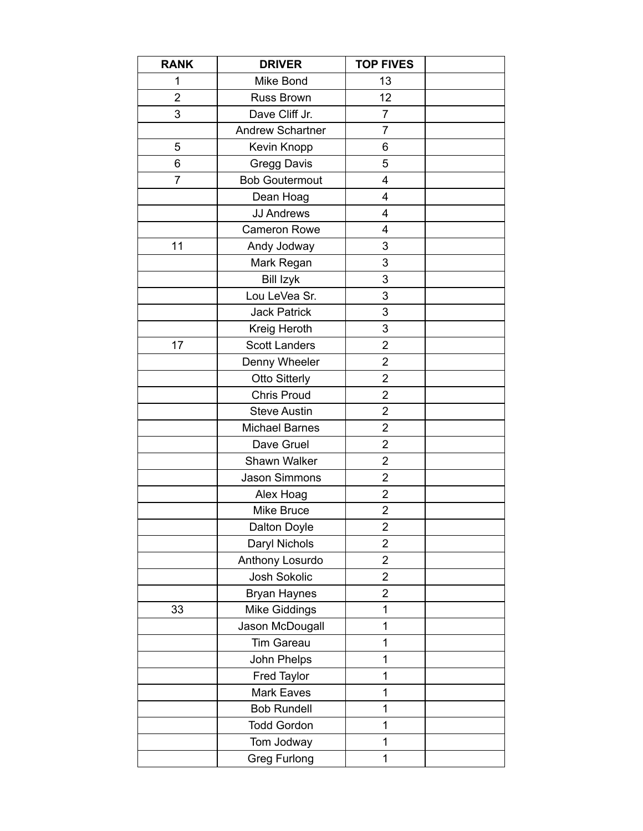| <b>RANK</b>    | <b>DRIVER</b>           | <b>TOP FIVES</b>          |  |
|----------------|-------------------------|---------------------------|--|
| 1              | Mike Bond               | 13                        |  |
| $\overline{2}$ | <b>Russ Brown</b>       | 12                        |  |
| 3              | Dave Cliff Jr.          | 7                         |  |
|                | <b>Andrew Schartner</b> | 7                         |  |
| 5              | Kevin Knopp             | 6                         |  |
| 6              | <b>Gregg Davis</b>      | 5                         |  |
| $\overline{7}$ | <b>Bob Goutermout</b>   | 4                         |  |
|                | Dean Hoag               | 4                         |  |
|                | <b>JJ Andrews</b>       | 4                         |  |
|                | <b>Cameron Rowe</b>     | 4                         |  |
| 11             | Andy Jodway             | 3                         |  |
|                | Mark Regan              | 3                         |  |
|                | <b>Bill Izyk</b>        | 3                         |  |
|                | Lou LeVea Sr.           | 3                         |  |
|                | <b>Jack Patrick</b>     | 3                         |  |
|                | Kreig Heroth            | $\ensuremath{\mathsf{3}}$ |  |
| 17             | <b>Scott Landers</b>    | $\overline{2}$            |  |
|                | Denny Wheeler           | $\overline{2}$            |  |
|                | <b>Otto Sitterly</b>    | $\overline{2}$            |  |
|                | <b>Chris Proud</b>      | 2                         |  |
|                | <b>Steve Austin</b>     | $\overline{2}$            |  |
|                | <b>Michael Barnes</b>   | $\overline{2}$            |  |
|                | Dave Gruel              | $\overline{2}$            |  |
|                | Shawn Walker            | $\overline{2}$            |  |
|                | Jason Simmons           | $\overline{2}$            |  |
|                | Alex Hoag               | $\overline{2}$            |  |
|                | Mike Bruce              | $\overline{c}$            |  |
|                | Dalton Doyle            | $\overline{\mathbf{c}}$   |  |
|                | Daryl Nichols           | $\overline{2}$            |  |
|                | Anthony Losurdo         | $\overline{2}$            |  |
|                | Josh Sokolic            | 2                         |  |
|                | <b>Bryan Haynes</b>     | 2                         |  |
| 33             | <b>Mike Giddings</b>    | 1                         |  |
|                | Jason McDougall         | 1                         |  |
|                | <b>Tim Gareau</b>       | 1                         |  |
|                | John Phelps             | 1                         |  |
|                | Fred Taylor             | 1                         |  |
|                | <b>Mark Eaves</b>       | 1                         |  |
|                | <b>Bob Rundell</b>      | 1                         |  |
|                | <b>Todd Gordon</b>      | 1                         |  |
|                | Tom Jodway              | 1                         |  |
|                | <b>Greg Furlong</b>     | 1                         |  |